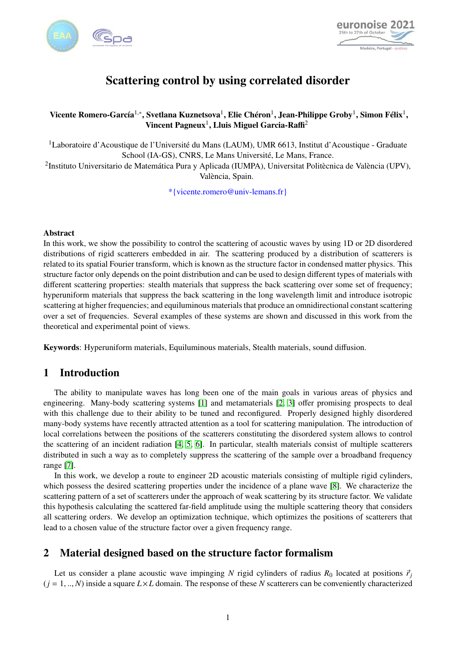



# Scattering control by using correlated disorder

### Vicente Romero-García $^{1,*}$ , Svetlana Kuznetsova $^1$ , Elie Chéron $^1$ , Jean-Philippe Groby $^1$ , Simon Félix $^1,$ Vincent Pagneux<sup>1</sup>, Lluis Miguel Garcia-Raffi<sup>2</sup>

<sup>1</sup>Laboratoire d'Acoustique de l'Université du Mans (LAUM), UMR 6613, Institut d'Acoustique - Graduate School (IA-GS), CNRS, Le Mans Université, Le Mans, France.

<sup>2</sup>Instituto Universitario de Matemática Pura y Aplicada (IUMPA), Universitat Politècnica de València (UPV), València, Spain.

\*{vicente.romero@univ-lemans.fr}

#### **Abstract**

In this work, we show the possibility to control the scattering of acoustic waves by using 1D or 2D disordered distributions of rigid scatterers embedded in air. The scattering produced by a distribution of scatterers is related to its spatial Fourier transform, which is known as the structure factor in condensed matter physics. This structure factor only depends on the point distribution and can be used to design different types of materials with different scattering properties: stealth materials that suppress the back scattering over some set of frequency; hyperuniform materials that suppress the back scattering in the long wavelength limit and introduce isotropic scattering at higher frequencies; and equiluminous materials that produce an omnidirectional constant scattering over a set of frequencies. Several examples of these systems are shown and discussed in this work from the theoretical and experimental point of views.

Keywords: Hyperuniform materials, Equiluminous materials, Stealth materials, sound diffusion.

## 1 Introduction

The ability to manipulate waves has long been one of the main goals in various areas of physics and engineering. Many-body scattering systems [\[1\]](#page-3-0) and metamaterials [\[2,](#page-3-1) [3\]](#page-3-2) offer promising prospects to deal with this challenge due to their ability to be tuned and reconfigured. Properly designed highly disordered many-body systems have recently attracted attention as a tool for scattering manipulation. The introduction of local correlations between the positions of the scatterers constituting the disordered system allows to control the scattering of an incident radiation [\[4,](#page-3-3) [5,](#page-3-4) [6\]](#page-3-5). In particular, stealth materials consist of multiple scatterers distributed in such a way as to completely suppress the scattering of the sample over a broadband frequency range [\[7\]](#page-3-6).

In this work, we develop a route to engineer 2D acoustic materials consisting of multiple rigid cylinders, which possess the desired scattering properties under the incidence of a plane wave [\[8\]](#page-3-7). We characterize the scattering pattern of a set of scatterers under the approach of weak scattering by its structure factor. We validate this hypothesis calculating the scattered far-field amplitude using the multiple scattering theory that considers all scattering orders. We develop an optimization technique, which optimizes the positions of scatterers that lead to a chosen value of the structure factor over a given frequency range.

## 2 Material designed based on the structure factor formalism

Let us consider a plane acoustic wave impinging *N* rigid cylinders of radius  $R_0$  located at positions  $\vec{r}_j$  $(j = 1, ..., N)$  inside a square  $L \times L$  domain. The response of these *N* scatterers can be conveniently characterized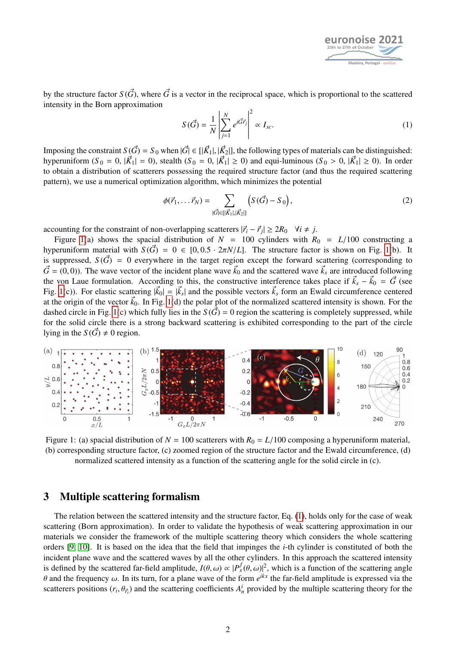

by the structure factor  $S(\vec{G})$ , where  $\vec{G}$  is a vector in the reciprocal space, which is proportional to the scattered intensity in the Born approximation

<span id="page-1-1"></span>
$$
S(\vec{G}) = \frac{1}{N} \left| \sum_{j=1}^{N} e^{i\vec{G}\vec{r}_j} \right|^2 \propto I_{sc}.
$$
 (1)

Imposing the constraint  $S(\vec{G}) = S_0$  when  $|\vec{G}| \in [\vec{K_1}|, |\vec{K_2}|]$ , the following types of materials can be distinguished: hyperuniform ( $S_0 = 0$ ,  $|\vec{K_1}| = 0$ ), stealth ( $S_0 = 0$ ,  $|\vec{K_1}| \ge 0$ ) and equi-luminous ( $S_0 > 0$ ,  $|\vec{K_1}| \ge 0$ ). In order to obtain a distribution of scatterers possessing the required structure factor (and thus the required scattering pattern), we use a numerical optimization algorithm, which minimizes the potential

$$
\phi(\vec{r}_1, \dots, \vec{r}_N) = \sum_{|\vec{G}| \in [|\vec{K}_1|, |\vec{K}_2|]} \left( S(\vec{G}) - S_0 \right),\tag{2}
$$

accounting for the constraint of non-overlapping scatterers  $|\vec{r}_i - \vec{r}_j| \ge 2R_0$   $\forall i \ne j$ .<br>Figure 1(a) shows the spacial distribution of  $N = 100$  cylinders with *R* 

Figure [1\(](#page-1-0)a) shows the spacial distribution of  $N = 100$  cylinders with  $R_0 = L/100$  constructing a hyperuniform material with  $S(\vec{G}) = 0 \in [0, 0.5 \cdot 2\pi N/L]$ . The structure factor is shown on Fig. [1\(](#page-1-0)b). It is suppressed,  $S(\vec{G}) = 0$  everywhere in the target region except the forward scattering (corresponding to  $\vec{G} = (0, 0)$ ). The wave vector of the incident plane wave  $\vec{k}_0$  and the scattered wave  $\vec{k}_s$  are introduced following the von Laue formulation. According to this, the constructive interference takes place if  $\vec{k}_s - \vec{k}_0 = \vec{G}$  (see Fig. [1\(](#page-1-0)c)). For elastic scattering  $|\vec{k}_0| = |\vec{k}_s|$  and the possible vectors  $\vec{k}_s$  form an Ewald circumference centered at the origin of the vector  $\vec{k}_0$ . In Fig. [1\(](#page-1-0)d) the polar plot of the normalized scattered intensity is shown. For the dashed circle in Fig. [1\(](#page-1-0)c) which fully lies in the  $S(\vec{G}) = 0$  region the scattering is completely suppressed, while for the solid circle there is a strong backward scattering is exhibited corresponding to the part of the circle lying in the  $S(\vec{G}) \neq 0$  region.

<span id="page-1-0"></span>

Figure 1: (a) spacial distribution of  $N = 100$  scatterers with  $R_0 = L/100$  composing a hyperuniform material, (b) corresponding structure factor, (c) zoomed region of the structure factor and the Ewald circumference, (d) normalized scattered intensity as a function of the scattering angle for the solid circle in (c).

#### 3 Multiple scattering formalism

The relation between the scattered intensity and the structure factor, Eq. [\(1\)](#page-1-1), holds only for the case of weak scattering (Born approximation). In order to validate the hypothesis of weak scattering approximation in our materials we consider the framework of the multiple scattering theory which considers the whole scattering orders [\[9,](#page-3-8) [10\]](#page-3-9). It is based on the idea that the field that impinges the *i*-th cylinder is constituted of both the incident plane wave and the scattered waves by all the other cylinders. In this approach the scattered intensity is defined by the scattered far-field amplitude,  $I(\theta, \omega) \propto |P_s^f(\theta, \omega)|^2$ , which is a function of the scattering angle<br>*A* and the frequency  $\omega$ . In its turn, for a plane wave of the form e<sup>ikx</sup> the far-field amplitude θ and the frequency ω. In its turn, for a plane wave of the form  $e^{ikx}$  the far-field amplitude is expressed via the scattering (*r*, θ<sub>λ</sub>) and the scattering coefficients  $A^i$  provided by the multiple scattering theor scatterers positions  $(r_i, \theta_{\vec{r}_i})$  and the scattering coefficients  $A^i_n$  provided by the multiple scattering theory for the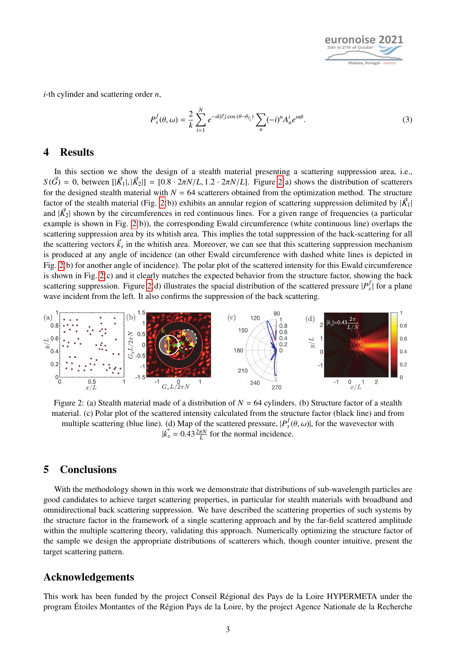

*i*-th cylinder and scattering order *n*,

$$
P_s^f(\theta,\omega) = \frac{2}{k} \sum_{i=1}^N e^{-ik|\vec{r}_i|\cos(\theta-\theta_{\vec{r}_i})} \sum_n (-i)^n A_n^i e^{in\theta}.
$$
 (3)

#### 4 Results

In this section we show the design of a stealth material presenting a scattering suppression area, i.e.,  $S(\vec{G}) = 0$ , between  $\left[|\vec{K}_1|, |\vec{K}_2|\right] = \left[0.8 \cdot 2\pi N/L, 1.2 \cdot 2\pi N/L\right]$ . Figure [2\(](#page-2-0)a) shows the distribution of scatterers for the designed stealth material with  $N = 64$  scatterers obtained from the optimization method. The structure factor of the stealth material (Fig. [2\(](#page-2-0)b)) exhibits an annular region of scattering suppression delimited by  $|\vec{K}_1|$ and  $|\vec{K_2}|$  shown by the circumferences in red continuous lines. For a given range of frequencies (a particular example is shown in Fig. [2\(](#page-2-0)b)), the corresponding Ewald circumference (white continuous line) overlaps the scattering suppression area by its whitish area. This implies the total suppression of the back-scattering for all the scattering vectors  $k_s$  in the whitish area. Moreover, we can see that this scattering suppression mechanism is produced at any angle of incidence (an other Ewald circumference with dashed white lines is depicted in Fig. [2\(](#page-2-0)b) for another angle of incidence). The polar plot of the scattered intensity for this Ewald circumference is shown in Fig. [2\(](#page-2-0)c) and it clearly matches the expected behavior from the structure factor, showing the back scattering suppression. Figure [2\(](#page-2-0)d) illustrates the spacial distribution of the scattered pressure  $|P_s^f|$  for a plane wave incident from the left. It also confirms the suppression of the back scattering.

<span id="page-2-0"></span>

Figure 2: (a) Stealth material made of a distribution of *N* = 64 cylinders. (b) Structure factor of a stealth material. (c) Polar plot of the scattered intensity calculated from the structure factor (black line) and from multiple scattering (blue line). (d) Map of the scattered pressure,  $|P_s^f(\theta, \omega)|$ , for the wavevector with  $|V_t - 0.43 \frac{2\pi N}{\pi}$  for the normal incidence  $|k_s| = 0.43 \frac{2\pi N}{L}$  for the normal incidence.

## 5 Conclusions

With the methodology shown in this work we demonstrate that distributions of sub-wavelength particles are good candidates to achieve target scattering properties, in particular for stealth materials with broadband and omnidirectional back scattering suppression. We have described the scattering properties of such systems by the structure factor in the framework of a single scattering approach and by the far-field scattered amplitude within the multiple scattering theory, validating this approach. Numerically optimizing the structure factor of the sample we design the appropriate distributions of scatterers which, though counter intuitive, present the target scattering pattern.

#### Acknowledgements

This work has been funded by the project Conseil Régional des Pays de la Loire HYPERMETA under the program Étoiles Montantes of the Région Pays de la Loire, by the project Agence Nationale de la Recherche